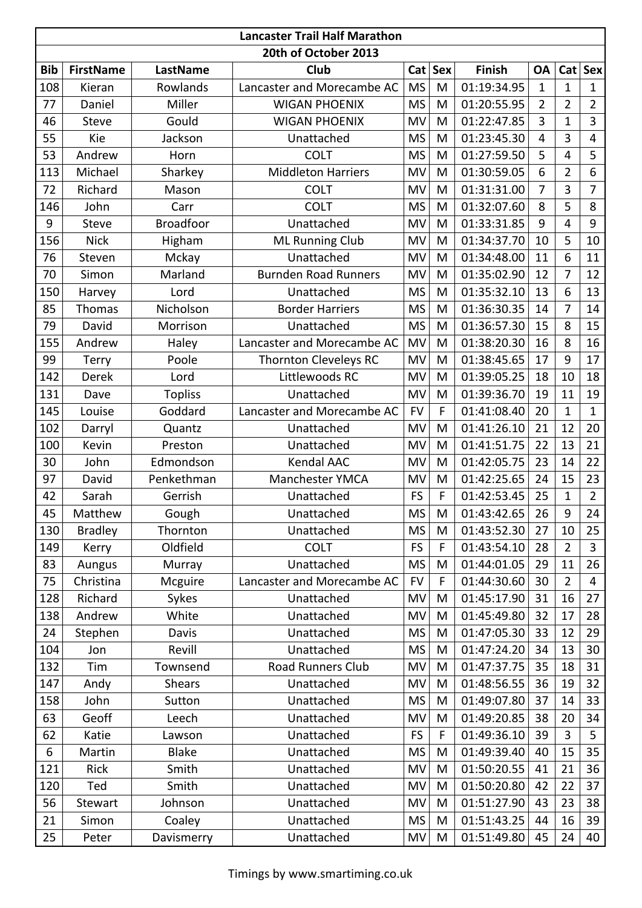| <b>Lancaster Trail Half Marathon</b> |                  |                  |                              |           |     |               |                |                |                |
|--------------------------------------|------------------|------------------|------------------------------|-----------|-----|---------------|----------------|----------------|----------------|
| 20th of October 2013                 |                  |                  |                              |           |     |               |                |                |                |
| <b>Bib</b>                           | <b>FirstName</b> | <b>LastName</b>  | Club                         | Cat       | Sex | <b>Finish</b> | <b>OA</b>      | Cat            | <b>Sex</b>     |
| 108                                  | Kieran           | Rowlands         | Lancaster and Morecambe AC   | <b>MS</b> | M   | 01:19:34.95   | $\mathbf{1}$   | $\mathbf{1}$   | $\mathbf{1}$   |
| 77                                   | Daniel           | Miller           | <b>WIGAN PHOENIX</b>         | <b>MS</b> | M   | 01:20:55.95   | $\overline{2}$ | 2              | $\overline{2}$ |
| 46                                   | <b>Steve</b>     | Gould            | <b>WIGAN PHOENIX</b>         | MV        | M   | 01:22:47.85   | 3              | $\overline{1}$ | $\overline{3}$ |
| 55                                   | Kie              | Jackson          | Unattached                   | <b>MS</b> | M   | 01:23:45.30   | $\overline{4}$ | 3              | 4              |
| 53                                   | Andrew           | Horn             | <b>COLT</b>                  | <b>MS</b> | M   | 01:27:59.50   | 5              | 4              | 5              |
| 113                                  | Michael          | Sharkey          | <b>Middleton Harriers</b>    | MV        | M   | 01:30:59.05   | 6              | $\overline{2}$ | 6              |
| 72                                   | Richard          | Mason            | <b>COLT</b>                  | MV        | M   | 01:31:31.00   | $\overline{7}$ | 3              | 7              |
| 146                                  | John             | Carr             | <b>COLT</b>                  | <b>MS</b> | M   | 01:32:07.60   | 8              | 5              | 8              |
| 9                                    | <b>Steve</b>     | <b>Broadfoor</b> | Unattached                   | MV        | M   | 01:33:31.85   | 9              | $\overline{4}$ | 9              |
| 156                                  | <b>Nick</b>      | Higham           | <b>ML Running Club</b>       | MV        | M   | 01:34:37.70   | 10             | 5              | 10             |
| 76                                   | Steven           | Mckay            | Unattached                   | MV        | M   | 01:34:48.00   | 11             | 6              | 11             |
| 70                                   | Simon            | Marland          | <b>Burnden Road Runners</b>  | MV        | M   | 01:35:02.90   | 12             | 7              | 12             |
| 150                                  | Harvey           | Lord             | Unattached                   | <b>MS</b> | M   | 01:35:32.10   | 13             | 6              | 13             |
| 85                                   | Thomas           | Nicholson        | <b>Border Harriers</b>       | <b>MS</b> | M   | 01:36:30.35   | 14             | $\overline{7}$ | 14             |
| 79                                   | David            | Morrison         | Unattached                   | <b>MS</b> | M   | 01:36:57.30   | 15             | 8              | 15             |
| 155                                  | Andrew           | Haley            | Lancaster and Morecambe AC   | MV        | M   | 01:38:20.30   | 16             | 8              | 16             |
| 99                                   | Terry            | Poole            | <b>Thornton Cleveleys RC</b> | MV        | M   | 01:38:45.65   | 17             | 9              | 17             |
| 142                                  | <b>Derek</b>     | Lord             | Littlewoods RC               | MV        | M   | 01:39:05.25   | 18             | 10             | 18             |
| 131                                  | Dave             | <b>Topliss</b>   | Unattached                   | MV        | M   | 01:39:36.70   | 19             | 11             | 19             |
| 145                                  | Louise           | Goddard          | Lancaster and Morecambe AC   | <b>FV</b> | F   | 01:41:08.40   | 20             | $\mathbf{1}$   | $\mathbf{1}$   |
| 102                                  | Darryl           | Quantz           | Unattached                   | MV        | M   | 01:41:26.10   | 21             | 12             | 20             |
| 100                                  | Kevin            | Preston          | Unattached                   | MV        | M   | 01:41:51.75   | 22             | 13             | 21             |
| 30                                   | John             | Edmondson        | <b>Kendal AAC</b>            | MV        | M   | 01:42:05.75   | 23             | 14             | 22             |
| 97                                   | David            | Penkethman       | <b>Manchester YMCA</b>       | MV        | M   | 01:42:25.65   | 24             | 15             | 23             |
| 42                                   | Sarah            | Gerrish          | Unattached                   | <b>FS</b> | F   | 01:42:53.45   | 25             | 1              | $\overline{2}$ |
| 45                                   | Matthew          | Gough            | Unattached                   | <b>MS</b> | M   | 01:43:42.65   | 26             | 9              | 24             |
| 130                                  | <b>Bradley</b>   | Thornton         | Unattached                   | <b>MS</b> | M   | 01:43:52.30   | 27             | 10             | 25             |
| 149                                  | Kerry            | Oldfield         | <b>COLT</b>                  | <b>FS</b> | F   | 01:43:54.10   | 28             | $\overline{2}$ | 3              |
| 83                                   | Aungus           | Murray           | Unattached                   | <b>MS</b> | M   | 01:44:01.05   | 29             | 11             | 26             |
| 75                                   | Christina        | Mcguire          | Lancaster and Morecambe AC   | <b>FV</b> | F   | 01:44:30.60   | 30             | $\overline{2}$ | $\overline{4}$ |
| 128                                  | Richard          | Sykes            | Unattached                   | MV        | M   | 01:45:17.90   | 31             | 16             | 27             |
| 138                                  | Andrew           | White            | Unattached                   | MV        | M   | 01:45:49.80   | 32             | 17             | 28             |
| 24                                   | Stephen          | Davis            | Unattached                   | <b>MS</b> | M   | 01:47:05.30   | 33             | 12             | 29             |
| 104                                  | Jon              | Revill           | Unattached                   | <b>MS</b> | M   | 01:47:24.20   | 34             | 13             | 30             |
| 132                                  | Tim              | Townsend         | <b>Road Runners Club</b>     | MV        | M   | 01:47:37.75   | 35             | 18             | 31             |
| 147                                  | Andy             | <b>Shears</b>    | Unattached                   | MV        | M   | 01:48:56.55   | 36             | 19             | 32             |
| 158                                  | John             | Sutton           | Unattached                   | <b>MS</b> | M   | 01:49:07.80   | 37             | 14             | 33             |
| 63                                   | Geoff            | Leech            | Unattached                   | MV        | M   | 01:49:20.85   | 38             | 20             | 34             |
| 62                                   | Katie            | Lawson           | Unattached                   | <b>FS</b> | F   | 01:49:36.10   | 39             | $\overline{3}$ | 5              |
| 6                                    | Martin           | <b>Blake</b>     | Unattached                   | <b>MS</b> | M   | 01:49:39.40   | 40             | 15             | 35             |
| 121                                  | Rick             | Smith            | Unattached                   | MV        | M   | 01:50:20.55   | 41             | 21             | 36             |
| 120                                  | Ted              | Smith            | Unattached                   | MV        | M   | 01:50:20.80   | 42             | 22             | 37             |
| 56                                   | Stewart          | Johnson          | Unattached                   | MV        | M   | 01:51:27.90   | 43             | 23             | 38             |
| 21                                   | Simon            | Coaley           | Unattached                   | <b>MS</b> | M   | 01:51:43.25   | 44             | 16             | 39             |
| 25                                   | Peter            | Davismerry       | Unattached                   | MV        | M   | 01:51:49.80   | 45             | 24             | 40             |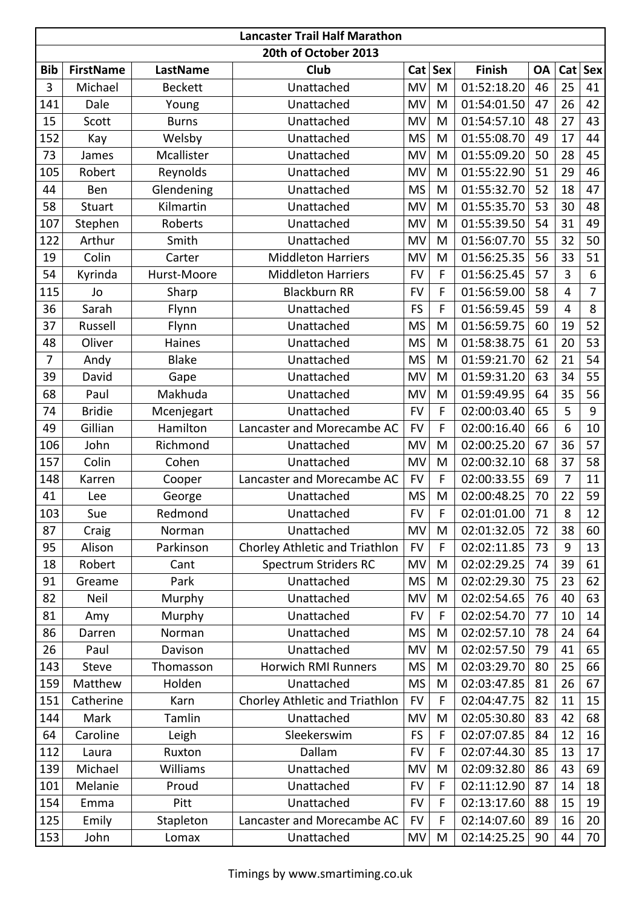| <b>Lancaster Trail Half Marathon</b> |                  |                 |                                |           |     |               |           |                |            |
|--------------------------------------|------------------|-----------------|--------------------------------|-----------|-----|---------------|-----------|----------------|------------|
| 20th of October 2013                 |                  |                 |                                |           |     |               |           |                |            |
| <b>Bib</b>                           | <b>FirstName</b> | <b>LastName</b> | Club                           | Cat       | Sex | <b>Finish</b> | <b>OA</b> | Cat            | <b>Sex</b> |
| 3                                    | Michael          | <b>Beckett</b>  | Unattached                     | MV        | M   | 01:52:18.20   | 46        | 25             | 41         |
| 141                                  | Dale             | Young           | Unattached                     | MV        | M   | 01:54:01.50   | 47        | 26             | 42         |
| 15                                   | Scott            | <b>Burns</b>    | Unattached                     | MV        | M   | 01:54:57.10   | 48        | 27             | 43         |
| 152                                  | Kay              | Welsby          | Unattached                     | <b>MS</b> | M   | 01:55:08.70   | 49        | 17             | 44         |
| 73                                   | James            | Mcallister      | Unattached                     | MV        | M   | 01:55:09.20   | 50        | 28             | 45         |
| 105                                  | Robert           | Reynolds        | Unattached                     | MV        | M   | 01:55:22.90   | 51        | 29             | 46         |
| 44                                   | Ben              | Glendening      | Unattached                     | <b>MS</b> | M   | 01:55:32.70   | 52        | 18             | 47         |
| 58                                   | <b>Stuart</b>    | Kilmartin       | Unattached                     | MV        | M   | 01:55:35.70   | 53        | 30             | 48         |
| 107                                  | Stephen          | Roberts         | Unattached                     | MV        | M   | 01:55:39.50   | 54        | 31             | 49         |
| 122                                  | Arthur           | Smith           | Unattached                     | MV        | M   | 01:56:07.70   | 55        | 32             | 50         |
| 19                                   | Colin            | Carter          | <b>Middleton Harriers</b>      | MV        | M   | 01:56:25.35   | 56        | 33             | 51         |
| 54                                   | Kyrinda          | Hurst-Moore     | <b>Middleton Harriers</b>      | <b>FV</b> | F   | 01:56:25.45   | 57        | 3              | 6          |
| 115                                  | Jo               | Sharp           | <b>Blackburn RR</b>            | <b>FV</b> | F   | 01:56:59.00   | 58        | 4              | 7          |
| 36                                   | Sarah            | Flynn           | Unattached                     | <b>FS</b> | F   | 01:56:59.45   | 59        | $\overline{4}$ | 8          |
| 37                                   | Russell          | Flynn           | Unattached                     | <b>MS</b> | M   | 01:56:59.75   | 60        | 19             | 52         |
| 48                                   | Oliver           | <b>Haines</b>   | Unattached                     | <b>MS</b> | M   | 01:58:38.75   | 61        | 20             | 53         |
| 7                                    | Andy             | <b>Blake</b>    | Unattached                     | <b>MS</b> | M   | 01:59:21.70   | 62        | 21             | 54         |
| 39                                   | David            | Gape            | Unattached                     | MV        | M   | 01:59:31.20   | 63        | 34             | 55         |
| 68                                   | Paul             | Makhuda         | Unattached                     | MV        | M   | 01:59:49.95   | 64        | 35             | 56         |
| 74                                   | <b>Bridie</b>    | Mcenjegart      | Unattached                     | <b>FV</b> | F   | 02:00:03.40   | 65        | 5              | 9          |
| 49                                   | Gillian          | Hamilton        | Lancaster and Morecambe AC     | <b>FV</b> | F   | 02:00:16.40   | 66        | 6              | 10         |
| 106                                  | John             | Richmond        | Unattached                     | MV        | M   | 02:00:25.20   | 67        | 36             | 57         |
| 157                                  | Colin            | Cohen           | Unattached                     | MV        | M   | 02:00:32.10   | 68        | 37             | 58         |
| 148                                  | Karren           | Cooper          | Lancaster and Morecambe AC     | <b>FV</b> | F   | 02:00:33.55   | 69        | 7              | 11         |
| 41                                   | Lee              | George          | Unattached                     | <b>MS</b> | M   | 02:00:48.25   | 70        | 22             | 59         |
| 103                                  | Sue              | Redmond         | Unattached                     | <b>FV</b> | F   | 02:01:01.00   | 71        | 8              | 12         |
| 87                                   | Craig            | Norman          | Unattached                     | MV        | M   | 02:01:32.05   | 72        | 38             | 60         |
| 95                                   | Alison           | Parkinson       | Chorley Athletic and Triathlon | <b>FV</b> | F   | 02:02:11.85   | 73        | 9              | 13         |
| 18                                   | Robert           | Cant            | <b>Spectrum Striders RC</b>    | MV        | M   | 02:02:29.25   | 74        | 39             | 61         |
| 91                                   | Greame           | Park            | Unattached                     | <b>MS</b> | M   | 02:02:29.30   | 75        | 23             | 62         |
| 82                                   | Neil             | Murphy          | Unattached                     | MV        | M   | 02:02:54.65   | 76        | 40             | 63         |
| 81                                   | Amy              | Murphy          | Unattached                     | <b>FV</b> | F   | 02:02:54.70   | 77        | 10             | 14         |
| 86                                   | Darren           | Norman          | Unattached                     | <b>MS</b> | M   | 02:02:57.10   | 78        | 24             | 64         |
| 26                                   | Paul             | Davison         | Unattached                     | MV        | M   | 02:02:57.50   | 79        | 41             | 65         |
| 143                                  | <b>Steve</b>     | Thomasson       | <b>Horwich RMI Runners</b>     | <b>MS</b> | M   | 02:03:29.70   | 80        | 25             | 66         |
| 159                                  | Matthew          | Holden          | Unattached                     | <b>MS</b> | M   | 02:03:47.85   | 81        | 26             | 67         |
| 151                                  | Catherine        | Karn            | Chorley Athletic and Triathlon | <b>FV</b> | F   | 02:04:47.75   | 82        | 11             | 15         |
| 144                                  | Mark             | Tamlin          | Unattached                     | MV        | M   | 02:05:30.80   | 83        | 42             | 68         |
| 64                                   | Caroline         | Leigh           | Sleekerswim                    | <b>FS</b> | F   | 02:07:07.85   | 84        | 12             | 16         |
| 112                                  | Laura            | Ruxton          | Dallam                         | <b>FV</b> | F   | 02:07:44.30   | 85        | 13             | 17         |
| 139                                  | Michael          | Williams        | Unattached                     | MV        | M   | 02:09:32.80   | 86        | 43             | 69         |
| 101                                  | Melanie          | Proud           | Unattached                     | <b>FV</b> | F   | 02:11:12.90   | 87        | 14             | 18         |
| 154                                  | Emma             | Pitt            | Unattached                     | <b>FV</b> | F   | 02:13:17.60   | 88        | 15             | 19         |
| 125                                  | Emily            | Stapleton       | Lancaster and Morecambe AC     | <b>FV</b> | F   | 02:14:07.60   | 89        | 16             | 20         |
| 153                                  | John             | Lomax           | Unattached                     | MV        | M   | 02:14:25.25   | 90        | 44             | 70         |